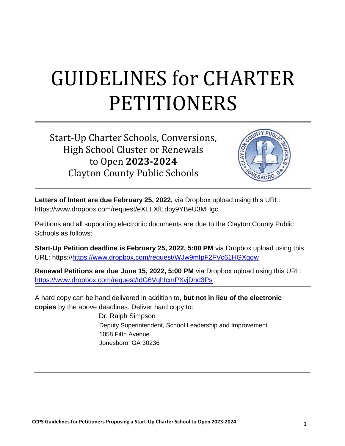# GUIDELINES for CHARTER PETITIONERS

Start-Up Charter Schools, Conversions, High School Cluster or Renewals to Open **2023-2024** Clayton County Public Schools



**Letters of Intent are due February 25, 2022,** via Dropbox upload using this URL: https:/[/www.dropbox.com/request/eXELXfEdpy9YBeU3MHgc](http://www.dropbox.com/request/eXELXfEdpy9YBeU3MHgc)

Petitions and all supporting electronic documents are due to the Clayton County Public Schools as follows:

**Start-Up Petition deadline is February 25, 2022, 5:00 PM** via Dropbox upload using this URL: https:/[/https://www.dropbox.com/request/WJw9mIpF2FVc61HGXqow](https://www.dropbox.com/request/WJw9mIpF2FVc61HGXqow)

**Renewal Petitions are due June 15, 2022, 5:00 PM** via Dropbox upload using this URL: <https://www.dropbox.com/request/tdG6VqhIcmPXvjDnd3Ps>

A hard copy can be hand delivered in addition to, **but not in lieu of the electronic copies** by the above deadlines. Deliver hard copy to:

> Dr. Ralph Simpson Deputy Superintendent, School Leadership and Improvement 1058 Fifth Avenue Jonesboro, GA 30236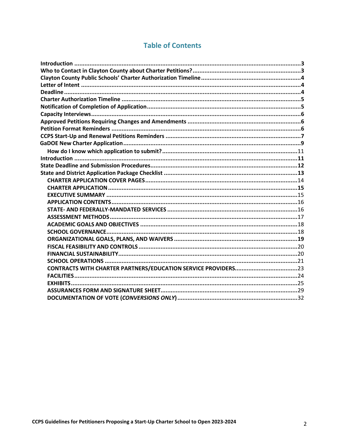### **Table of Contents**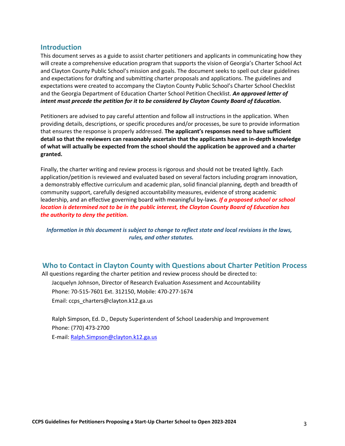#### <span id="page-2-0"></span>**Introduction**

This document serves as a guide to assist charter petitioners and applicants in communicating how they will create a comprehensive education program that supports the vision of Georgia's Charter School Act and Clayton County Public School's mission and goals. The document seeks to spell out clear guidelines and expectations for drafting and submitting charter proposals and applications. The guidelines and expectations were created to accompany the Clayton County Public School's Charter School Checklist and the Georgia Department of Education Charter School Petition Checklist. *An approved letter of intent must precede the petition for it to be considered by Clayton County Board of Education.*

Petitioners are advised to pay careful attention and follow all instructions in the application. When providing details, descriptions, or specific procedures and/or processes, be sure to provide information that ensures the response is properly addressed. **The applicant's responses need to have sufficient detail so that the reviewers can reasonably ascertain that the applicants have an in-depth knowledge of what will actually be expected from the school should the application be approved and a charter granted.**

Finally, the charter writing and review process is rigorous and should not be treated lightly. Each application/petition is reviewed and evaluated based on several factors including program innovation, a demonstrably effective curriculum and academic plan, solid financial planning, depth and breadth of community support, carefully designed accountability measures, evidence of strong academic leadership, and an effective governing board with meaningful by-laws. *If a proposed school or school location is determined not to be in the public interest, the Clayton County Board of Education has the authority to deny the petition.*

*Information in this document is subject to change to reflect state and local revisions in the laws, rules, and other statutes.*

#### **Who to Contact in Clayton County with Questions about Charter Petition Process**

All questions regarding the charter petition and review process should be directed to: Jacquelyn Johnson, Director of Research Evaluation Assessment and Accountability Phone: 70-515-7601 Ext. 312150, Mobile: 470-277-1674 Email: [ccps\\_charters@clayton.k12.ga.us](mailto:ccps_charters@clayton.k12.ga.us)

<span id="page-2-1"></span>Ralph Simpson, Ed. D., Deputy Superintendent of School Leadership and Improvement Phone: (770) 473-2700 E-mail: [Ralph.Simpson@clayton.k12.ga.us](mailto:Ralph.Simpson@clayton.k12.ga.us)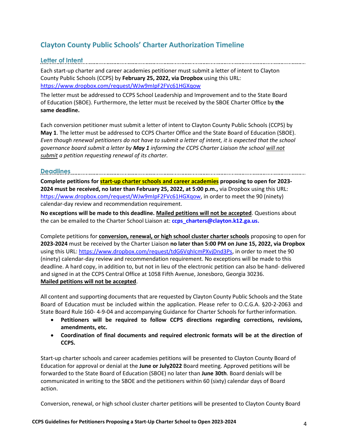### **Clayton County Public Schools' Charter Authorization Timeline**

#### <span id="page-3-0"></span>**Letter of Intent**

Each start-up charter and career academies petitioner must submit a letter of intent to Clayton County Public Schools (CCPS) by **February 25, 2022, via Dropbox** using this URL: <https://www.dropbox.com/request/WJw9mIpF2FVc61HGXqow>

The letter must be addressed to CCPS School Leadership and Improvement and to the State Board of Education (SBOE). Furthermore, the letter must be received by the SBOE Charter Office by **the same deadline.**

<span id="page-3-1"></span>Each conversion petitioner must submit a letter of intent to Clayton County Public Schools (CCPS) by **May 1**. The letter must be addressed to CCPS Charter Office and the State Board of Education (SBOE). *Even though renewal petitioners do not have to submit a letter of intent, it is expected that the school governance board submit a letter by May 1 informing the CCPS Charter Liaison the school will not submit a petition requesting renewal of its charter.*

#### **Deadlines**

**Complete petitions for start-up charter schools and career academies proposing to open for 2023- 2024 must be received, no later than February 25, 2022, at 5:00 p.m.,** via Dropbox using this URL: [https://www.dropbox.com/request/WJw9mIpF2FVc61HGXqow, i](https://www.dropbox.com/request/Az3ZWKyCYXm5RnaJ3vha)n order to meet the 90 (ninety) calendar-day review and recommendation requirement.

**No exceptions will be made to this deadline. Mailed petitions will not be accepted**. Questions about the can be emailed to the Charter School Liaison at: **[ccps\\_charters@clayton.k12.ga.us.](mailto:ccps_charters@clayton.k12.ga.us)**

Complete petitions for **conversion, renewal, or high school cluster charter schools** proposing to open for **2023-2024** must be received by the Charter Liaison **no later than 5:00 PM on June 15, 2022, via Dropbox**  using this URL: [https://www.dropbox.com/request/tdG6VqhIcmPXvjDnd3Ps,](https://www.dropbox.com/request/tdG6VqhIcmPXvjDnd3Ps) in order to meet the 90 (ninety) calendar-day review and recommendation requirement. No exceptions will be made to this deadline. A hard copy, in addition to, but not in lieu of the electronic petition can also be hand- delivered and signed in at the CCPS Central Office at 1058 Fifth Avenue, Jonesboro, Georgia 30236. **Mailed petitions will not be accepted**.

All content and supporting documents that are requested by Clayton County Public Schools and the State Board of Education must be included within the application. Please refer to O.C.G.A. §20-2-2063 and State Board Rule 160- 4-9-04 and accompanying Guidance for Charter Schools for furtherinformation.

- **Petitioners will be required to follow CCPS directions regarding corrections, revisions, amendments, etc.**
- **Coordination of final documents and required electronic formats will be at the direction of CCPS.**

Start-up charter schools and career academies petitions will be presented to Clayton County Board of Education for approval or denial at the **June or July2022** Board meeting. Approved petitions will be forwarded to the State Board of Education (SBOE) no later than **June 30th**. Board denials will be communicated in writing to the SBOE and the petitioners within 60 (sixty) calendar days of Board action.

Conversion, renewal, or high school cluster charter petitions will be presented to Clayton County Board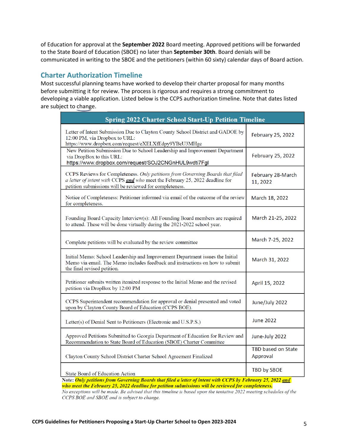of Education for approval at the **September 2022** Board meeting. Approved petitions will be forwarded to the State Board of Education (SBOE) no later than **September 30th**. Board denials will be communicated in writing to the SBOE and the petitioners (within 60 sixty) calendar days of Board action.

#### <span id="page-4-0"></span>**Charter Authorization Timeline**

Most successful planning teams have worked to develop their charter proposal for many months before submitting it for review. The process is rigorous and requires a strong commitment to developing a viable application. Listed below is the CCPS authorization timeline. Note that dates listed are subject to change.

| <b>Spring 2022 Charter School Start-Up Petition Timeline</b>                                                                                                                                                              |                                |
|---------------------------------------------------------------------------------------------------------------------------------------------------------------------------------------------------------------------------|--------------------------------|
| Letter of Intent Submission Due to Clayton County School District and GADOE by<br>12:00 PM, via Dropbox to URL:<br>https://www.dropbox.com/request/eXELXfEdpy9YBeU3MHgc                                                   | February 25, 2022              |
| New Petition Submission Due to School Leadership and Improvement Department<br>via DropBox to this URL:<br>https://www.dropbox.com/request/SOJ2CNGnHUL9wdti7Fgl                                                           | February 25, 2022              |
| CCPS Reviews for Completeness. Only petitions from Governing Boards that filed<br>a letter of intent with CCPS and who meet the February 25, 2022 deadline for<br>petition submissions will be reviewed for completeness. | February 28-March<br>11, 2022  |
| Notice of Completeness: Petitioner informed via email of the outcome of the review<br>for completeness.                                                                                                                   | March 18, 2022                 |
| Founding Board Capacity Interview(s): All Founding Board members are required<br>to attend. These will be done virtually during the 2021-2022 school year.                                                                | March 21-25, 2022              |
| Complete petitions will be evaluated by the review committee                                                                                                                                                              | March 7-25, 2022               |
| Initial Memo: School Leadership and Improvement Department issues the Initial<br>Memo via email. The Memo includes feedback and instructions on how to submit<br>the final revised petition.                              | March 31, 2022                 |
| Petitioner submits written itemized response to the Initial Memo and the revised<br>petition via DropBox by 12:00 PM                                                                                                      | April 15, 2022                 |
| CCPS Superintendent recommendation for approval or denial presented and voted<br>upon by Clayton County Board of Education (CCPS BOE).                                                                                    | June/July 2022                 |
| Letter(s) of Denial Sent to Petitioners (Electronic and U.S.P.S.)                                                                                                                                                         | <b>June 2022</b>               |
| Approved Petitions Submitted to Georgia Department of Education for Review and<br>Recommendation to State Board of Education (SBOE) Charter Committee                                                                     | June-July 2022                 |
| Clayton County School District Charter School Agreement Finalized                                                                                                                                                         | TBD based on State<br>Approval |
| State Board of Education Action<br>Note: Only petitions from Governing Boards that filed a letter of intent with CCPS by February 25, 2022 and                                                                            | TBD by SBOE                    |

who meet the February 25, 2022 deadline for petition submissions will be reviewed for completeness. No exceptions will be made. Be advised that this timeline is based upon the tentative 2022 meeting schedules of the CCPS BOE and SBOE and is subject to change.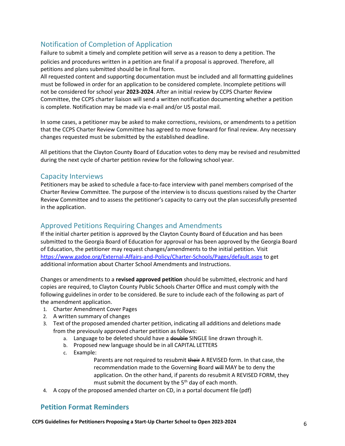### <span id="page-5-0"></span>Notification of Completion of Application

Failure to submit a timely and complete petition will serve as a reason to deny a petition. The policies and procedures written in a petition are final if a proposal is approved. Therefore, all petitions and plans submitted should be in final form.

All requested content and supporting documentation must be included and all formatting guidelines must be followed in order for an application to be considered complete. Incomplete petitions will not be considered for school year **2023-2024**. After an initial review by CCPS Charter Review Committee, the CCPS charter liaison will send a written notification documenting whether a petition is complete. Notification may be made via e-mail and/or US postal mail.

In some cases, a petitioner may be asked to make corrections, revisions, or amendments to a petition that the CCPS Charter Review Committee has agreed to move forward for final review. Any necessary changes requested must be submitted by the established deadline.

All petitions that the Clayton County Board of Education votes to deny may be revised and resubmitted during the next cycle of charter petition review for the following school year.

#### <span id="page-5-1"></span>Capacity Interviews

Petitioners may be asked to schedule a face-to-face interview with panel members comprised of the Charter Review Committee. The purpose of the interview is to discuss questions raised by the Charter Review Committee and to assess the petitioner's capacity to carry out the plan successfully presented in the application.

### <span id="page-5-2"></span>Approved Petitions Requiring Changes and Amendments

If the initial charter petition is approved by the Clayton County Board of Education and has been submitted to the Georgia Board of Education for approval or has been approved by the Georgia Board of Education, the petitioner may request changes/amendments to the initial petition. Visit [https://www.gadoe.org/External-Affairs-and-Policy/Charter-Schools/Pages/default.aspx](http://www.doek.k12.ga.us/) to get additional information about Charter School Amendments and Instructions.

Changes or amendments to a **revised approved petition** should be submitted, electronic and hard copies are required, to Clayton County Public Schools Charter Office and must comply with the following guidelines in order to be considered. Be sure to include each of the following as part of the amendment application.

- 1. Charter Amendment Cover Pages
- 2. A written summary of changes
- 3. Text of the proposed amended charter petition, indicating all additions and deletions made from the previously approved charter petition as follows:
	- a. Language to be deleted should have a double SINGLE line drawn through it.
	- b. Proposed new language should be in all CAPITAL LETTERS
	- c. Example:

Parents are not required to resubmit their A REVISED form. In that case, the recommendation made to the Governing Board will MAY be to deny the application. On the other hand, if parents do resubmit A REVISED FORM, they must submit the document by the  $5<sup>th</sup>$  day of each month.

4. A copy of the proposed amended charter on CD, in a portal document file (pdf)

### **Petition Format Reminders**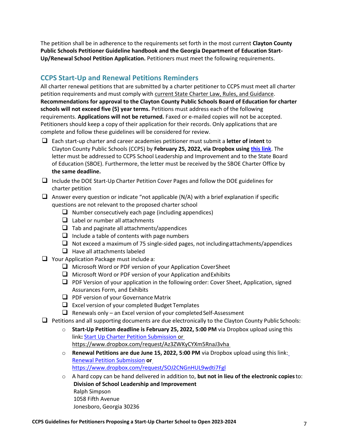The petition shall be in adherence to the requirements set forth in the most current **Clayton County Public Schools Petitioner Guideline handbook and the Georgia Department of Education Start-Up/Renewal School Petition Application.** Petitioners must meet the following requirements.

### <span id="page-6-0"></span>**CCPS Start-Up and Renewal Petitions Reminders**

All charter renewal petitions that are submitted by a charter petitioner to CCPS must meet all charter petition requirements and must comply with current State Charter Law, Rules, and Guidance. **Recommendations for approval to the Clayton County Public Schools Board of Education for charter schools will not exceed five (5) year terms.** Petitions must address each of the following requirements. **Applications will not be returned.** Faxed or e-mailed copies will not be accepted. Petitioners should keep a copy of their application for their records. Only applications that are complete and follow these guidelines will be considered for review.

- ❑ Each start-up charter and career academies petitioner must submit a **letter of intent** to Clayton County Public Schools (CCPS) by **February 25, 2022, via Dropbox using [this link](https://www.dropbox.com/request/WJw9mIpF2FVc61HGXqow)**. The letter must be addressed to CCPS School Leadership and Improvement and to the State Board of Education (SBOE). Furthermore, the letter must be received by the SBOE Charter Office by **the same deadline.**
- $\Box$  Include the DOE Start-Up Charter Petition Cover Pages and follow the DOE guidelines for charter petition
- $\Box$  Answer every question or indicate "not applicable (N/A) with a brief explanation if specific questions are not relevant to the proposed charter school
	- $\Box$  Number consecutively each page (including appendices)
	- $\Box$  Label or number all attachments
	- $\Box$  Tab and paginate all attachments/appendices
	- $\Box$  Include a table of contents with page numbers
	- ❑ Not exceed a maximum of 75 single-sided pages, not includingattachments/appendices
	- ❑ Have all attachments labeled
- ❑ Your Application Package must include a:
	- ❑ Microsoft Word or PDF version of your Application CoverSheet
	- $\Box$  Microsoft Word or PDF version of your Application and Exhibits
	- $\Box$  PDF Version of your application in the following order: Cover Sheet, Application, signed Assurances Form, and Exhibits
	- ❑ PDF version of your Governance Matrix
	- $\Box$  Excel version of your completed Budget Templates
	- $\Box$  Renewals only an Excel version of your completed Self-Assessment
- $\Box$  Petitions and all supporting documents are due electronically to the Clayton County Public Schools:
	- o **Start-Up Petition deadline is February 25, 2022, 5:00 PM** via Dropbox upload using this link**:** [Start Up Charter Petition Submission](https://www.dropbox.com/request/Az3ZWKyCYXm5RnaJ3vha) or https:/[/www.dropbox.com/request/Az3ZWKyCYXm5RnaJ3vha](http://www.dropbox.com/request/Az3ZWKyCYXm5RnaJ3vha)
	- o **Renewal Petitions are due June 15, 2022, 5:00 PM** via Dropbox upload using this link[:](https://www.dropbox.com/request/SOJ2CNGnHUL9wdti7Fgl) [Renewal Petition Submission](https://www.dropbox.com/request/SOJ2CNGnHUL9wdti7Fgl) **o[r](https://www.dropbox.com/request/SOJ2CNGnHUL9wdti7Fgl)** <https://www.dropbox.com/request/SOJ2CNGnHUL9wdti7Fgl>
	- o A hard copy can be hand delivered in addition to, **but not in lieu of the electronic copies**to: **Division of School Leadership and Improvement** Ralph Simpson 1058 Fifth Avenue Jonesboro, Georgia 30236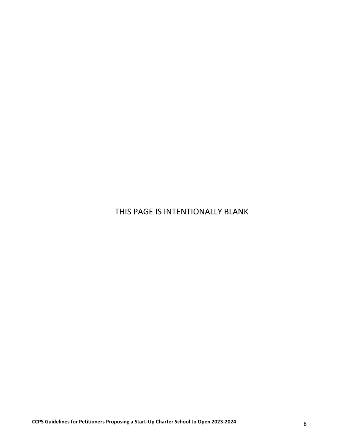THIS PAGE IS INTENTIONALLY BLANK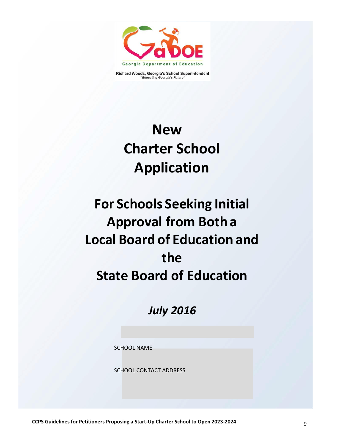

Richard Woods, Georgia's School Superintendent "Educating Georgia's Future

# **New Charter School Application**

# **For Schools Seeking Initial Approval from Both a Local Board of Education and the State Board of Education**

# *July 2016*

SCHOOL NAME

SCHOOL CONTACT ADDRESS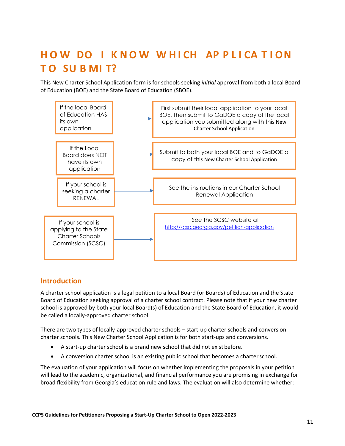# <span id="page-9-0"></span>**H O W DO I K NO W W H I CH AP P L I CA T I ON T O SU B MI T?**

This New Charter School Application form is for schools seeking *initial* approval from both a local Board of Education (BOE) and the State Board of Education (SBOE).



### <span id="page-9-1"></span>**Introduction**

A charter school application is a legal petition to a local Board (or Boards) of Education and the State Board of Education seeking approval of a charter school contract. Please note that if your new charter school is approved by both your local Board(s) of Education and the State Board of Education, it would be called a locally-approved charter school.

There are two types of locally-approved charter schools – start-up charter schools and conversion charter schools. This New Charter School Application is for both start-ups and conversions.

- A start-up charter school is a brand new school that did not exist before.
- A conversion charter school is an existing public school that becomes a charterschool.

The evaluation of your application will focus on whether implementing the proposals in your petition will lead to the academic, organizational, and financial performance you are promising in exchange for broad flexibility from Georgia's education rule and laws. The evaluation will also determine whether: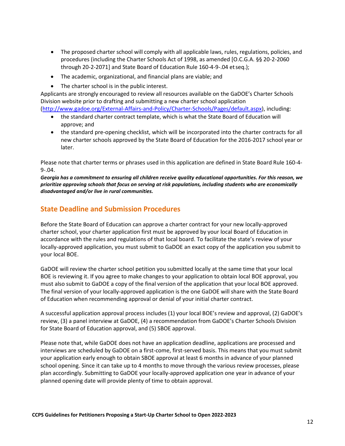- The proposed charter school will comply with all applicable laws, rules, regulations, policies, and procedures (including the Charter Schools Act of 1998, as amended [O.C.G.A. §§ 20-2-2060 through 20-2-2071] and State Board of Education Rule 160-4-9-.04 etseq.);
- The academic, organizational, and financial plans are viable; and
- The charter school is in the public interest.

Applicants are strongly encouraged to review all resources available on the GaDOE's Charter Schools Division website prior to drafting and submitting a new charter school application

[\(http://www.gadoe.org/External-Affairs-and-Policy/Charter-Schools/Pages/default.aspx\)](http://www.gadoe.org/External-Affairs-and-Policy/Charter-Schools/Pages/default.aspx), including:

- the standard charter contract template, which is what the State Board of Education will approve; and
- the standard pre-opening checklist, which will be incorporated into the charter contracts for all new charter schools approved by the State Board of Education for the 2016-2017 school year or later.

Please note that charter terms or phrases used in this application are defined in State Board Rule 160-4- 9-.04.

*Georgia has a commitment to ensuring all children receive quality educational opportunities. For this reason, we prioritize approving schools that focus on serving at risk populations, including students who are economically disadvantaged and/or live in rural communities.*

#### <span id="page-10-0"></span>**State Deadline and Submission Procedures**

Before the State Board of Education can approve a charter contract for your new locally-approved charter school, your charter application first must be approved by your local Board of Education in accordance with the rules and regulations of that local board. To facilitate the state's review of your locally-approved application, you must submit to GaDOE an exact copy of the application you submit to your local BOE.

GaDOE will review the charter school petition you submitted locally at the same time that your local BOE is reviewing it. If you agree to make changes to your application to obtain local BOE approval, you must also submit to GaDOE a copy of the final version of the application that your local BOE approved. The final version of your locally-approved application is the one GaDOE will share with the State Board of Education when recommending approval or denial of your initial charter contract.

A successful application approval process includes (1) your local BOE's review and approval, (2) GaDOE's review, (3) a panel interview at GaDOE, (4) a recommendation from GaDOE's Charter Schools Division for State Board of Education approval, and (5) SBOE approval.

Please note that, while GaDOE does not have an application deadline, applications are processed and interviews are scheduled by GaDOE on a first-come, first-served basis. This means that you must submit your application early enough to obtain SBOE approval at least 6 months in advance of your planned school opening. Since it can take up to 4 months to move through the various review processes, please plan accordingly. Submitting to GaDOE your locally-approved application one year in advance of your planned opening date will provide plenty of time to obtain approval.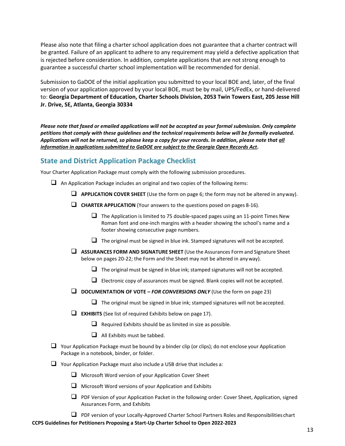Please also note that filing a charter school application does not guarantee that a charter contract will be granted. Failure of an applicant to adhere to any requirement may yield a defective application that is rejected before consideration. In addition, complete applications that are not strong enough to guarantee a successful charter school implementation will be recommended for denial.

Submission to GaDOE of the initial application you submitted to your local BOE and, later, of the final version of your application approved by your local BOE, must be by mail, UPS/FedEx, or hand-delivered to: **Georgia Department of Education, Charter Schools Division, 2053 Twin Towers East, 205 Jesse Hill Jr. Drive, SE, Atlanta, Georgia 30334**

*Please note that faxed or emailed applications will not be accepted as your formal submission. Only complete petitions that comply with these guidelines and the technical requirements below will be formally evaluated. Applications will not be returned, so please keep a copy for your records. In addition, please note that all information in applications submitted to GaDOE are subject to the Georgia Open Records Act.*

#### <span id="page-11-0"></span>**State and District Application Package Checklist**

Your Charter Application Package must comply with the following submission procedures.

- $\Box$  An Application Package includes an original and two copies of the following items:
	- ❑ **APPLICATION COVER SHEET** (Use the form on page 6; the form may not be altered in anyway).
	- ❑ **CHARTER APPLICATION** (Your answers to the questions posed on pages 8-16).
		- $\Box$  The Application is limited to 75 double-spaced pages using an 11-point Times New Roman font and one-inch margins with a header showing the school's name and a footer showing consecutive page numbers.
		- $\Box$  The original must be signed in blue ink. Stamped signatures will not be accepted.
	- ❑ **ASSURANCES FORM AND SIGNATURE SHEET** (Use the Assurances Form and Signature Sheet below on pages 20-22; the Form and the Sheet may not be altered in anyway).
		- $\Box$  The original must be signed in blue ink; stamped signatures will not be accepted.
		- $\Box$  Electronic copy of assurances must be signed. Blank copies will not be accepted.
	- ❑ **DOCUMENTATION OF VOTE –** *FOR CONVERSIONS ONLY* (Use the form on page 23)
		- $\Box$  The original must be signed in blue ink; stamped signatures will not be accepted.
	- ❑ **EXHIBITS** (See list of required Exhibits below on page 17).
		- $\Box$  Required Exhibits should be as limited in size as possible.
		- $\Box$  All Exhibits must be tabbed.
- $\Box$  Your Application Package must be bound by a binder clip (or clips); do not enclose your Application Package in a notebook, binder, or folder.
- $\Box$  Your Application Package must also include a USB drive that includes a:
	- ❑ Microsoft Word version of your Application Cover Sheet
	- ❑ Microsoft Word versions of your Application and Exhibits
	- ❑ PDF Version of your Application Packet in the following order: Cover Sheet, Application, signed Assurances Form, and Exhibits
	- ❑ PDF version of your Locally-Approved Charter School Partners Roles and Responsibilities chart

**CCPS Guidelines for Petitioners Proposing a Start-Up Charter School to Open 2022-2023**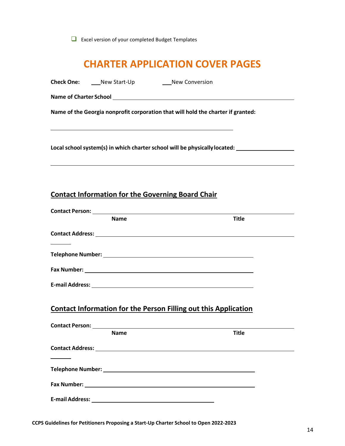| Excel version of your completed Budget Templates |
|--------------------------------------------------|
|--------------------------------------------------|

# **CHARTER APPLICATION COVER PAGES**

| <b>Check One:</b> New Start-Up New Conversion                                           |              |
|-----------------------------------------------------------------------------------------|--------------|
|                                                                                         |              |
| Name of the Georgia nonprofit corporation that will hold the charter if granted:        |              |
| Local school system(s) in which charter school will be physically located: ____________ |              |
| <b>Contact Information for the Governing Board Chair</b>                                |              |
| <b>Name</b>                                                                             | <b>Title</b> |
|                                                                                         |              |
|                                                                                         |              |
|                                                                                         |              |
|                                                                                         |              |
| <b>Contact Information for the Person Filling out this Application</b>                  |              |
| <b>Contact Person:</b>                                                                  |              |
| <b>Name</b>                                                                             | <b>Title</b> |
|                                                                                         |              |
|                                                                                         |              |
|                                                                                         |              |

**E-mail Address:**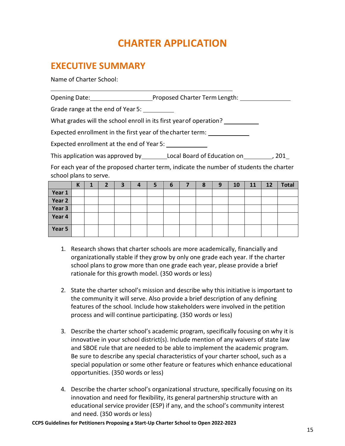# **CHARTER APPLICATION**

### <span id="page-13-1"></span><span id="page-13-0"></span>**EXECUTIVE SUMMARY**

Name of Charter School:

|                                                                           | Opening Date: ___________________________Proposed Charter Term Length: __________ |  |              |   |   |   |   |                |   |   |    |    |    |                                                                                                                   |  |  |  |  |  |  |  |
|---------------------------------------------------------------------------|-----------------------------------------------------------------------------------|--|--------------|---|---|---|---|----------------|---|---|----|----|----|-------------------------------------------------------------------------------------------------------------------|--|--|--|--|--|--|--|
| Grade range at the end of Year 5: __________                              |                                                                                   |  |              |   |   |   |   |                |   |   |    |    |    |                                                                                                                   |  |  |  |  |  |  |  |
| What grades will the school enroll in its first year of operation?        |                                                                                   |  |              |   |   |   |   |                |   |   |    |    |    |                                                                                                                   |  |  |  |  |  |  |  |
| Expected enrollment in the first year of the charter term: ______________ |                                                                                   |  |              |   |   |   |   |                |   |   |    |    |    |                                                                                                                   |  |  |  |  |  |  |  |
| Expected enrollment at the end of Year 5: _____________                   |                                                                                   |  |              |   |   |   |   |                |   |   |    |    |    |                                                                                                                   |  |  |  |  |  |  |  |
| This application was approved by Local Board of Education on 100 100 201  |                                                                                   |  |              |   |   |   |   |                |   |   |    |    |    |                                                                                                                   |  |  |  |  |  |  |  |
|                                                                           |                                                                                   |  |              |   |   |   |   |                |   |   |    |    |    | For each year of the proposed charter term, indicate the number of students the charter<br>school plans to serve. |  |  |  |  |  |  |  |
|                                                                           | К                                                                                 |  | $\mathbf{2}$ | 3 | 4 | 5 | 6 | $\overline{7}$ | 8 |   |    |    |    |                                                                                                                   |  |  |  |  |  |  |  |
|                                                                           |                                                                                   |  |              |   |   |   |   |                |   | 9 | 10 | 11 | 12 | <b>Total</b>                                                                                                      |  |  |  |  |  |  |  |
| Year 1                                                                    |                                                                                   |  |              |   |   |   |   |                |   |   |    |    |    |                                                                                                                   |  |  |  |  |  |  |  |
| Year 2                                                                    |                                                                                   |  |              |   |   |   |   |                |   |   |    |    |    |                                                                                                                   |  |  |  |  |  |  |  |
| Year 3                                                                    |                                                                                   |  |              |   |   |   |   |                |   |   |    |    |    |                                                                                                                   |  |  |  |  |  |  |  |
| Year 4                                                                    |                                                                                   |  |              |   |   |   |   |                |   |   |    |    |    |                                                                                                                   |  |  |  |  |  |  |  |

- 1. Research shows that charter schools are more academically, financially and organizationally stable if they grow by only one grade each year. If the charter school plans to grow more than one grade each year, please provide a brief rationale for this growth model. (350 words or less)
- 2. State the charter school's mission and describe why this initiative is important to the community it will serve. Also provide a brief description of any defining features of the school. Include how stakeholders were involved in the petition process and will continue participating. (350 words or less)
- 3. Describe the charter school's academic program, specifically focusing on why it is innovative in your school district(s). Include mention of any waivers of state law and SBOE rule that are needed to be able to implement the academic program. Be sure to describe any special characteristics of your charter school, such as a special population or some other feature or features which enhance educational opportunities. (350 words or less)
- 4. Describe the charter school's organizational structure, specifically focusing on its innovation and need for flexibility, its general partnership structure with an educational service provider (ESP) if any, and the school's community interest and need. (350 words or less)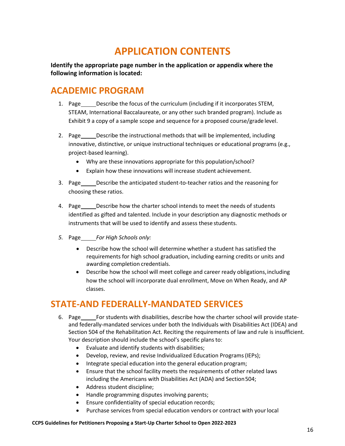# **APPLICATION CONTENTS**

<span id="page-14-0"></span>**Identify the appropriate page number in the application or appendix where the following information is located:**

# **ACADEMIC PROGRAM**

- 1. Page Describe the focus of the curriculum (including if it incorporates STEM, STEAM, International Baccalaureate, or any other such branded program). Include as Exhibit 9 a copy of a sample scope and sequence for a proposed course/grade level.
- 2. Page Describe the instructional methods that will be implemented, including innovative, distinctive, or unique instructional techniques or educational programs (e.g., project-based learning).
	- Why are these innovations appropriate for this population/school?
	- Explain how these innovations will increase student achievement.
- 3. Page Describe the anticipated student-to-teacher ratios and the reasoning for choosing these ratios.
- 4. Page Describe how the charter school intends to meet the needs of students identified as gifted and talented. Include in your description any diagnostic methods or instruments that will be used to identify and assess these students.
- *5.* Page *For High Schools only:*
	- Describe how the school will determine whether a student has satisfied the requirements for high school graduation, including earning credits or units and awarding completion credentials.
	- Describe how the school will meet college and career ready obligations,including how the school will incorporate dual enrollment, Move on When Ready, and AP classes.

### <span id="page-14-1"></span>**STATE-AND FEDERALLY-MANDATED SERVICES**

- 6. Page For students with disabilities, describe how the charter school will provide stateand federally-mandated services under both the Individuals with Disabilities Act (IDEA) and Section 504 of the Rehabilitation Act. Reciting the requirements of law and rule is insufficient. Your description should include the school's specific plansto:
	- Evaluate and identify students with disabilities;
	- Develop, review, and revise Individualized Education Programs(IEPs);
	- Integrate special education into the general education program;
	- Ensure that the school facility meets the requirements of other related laws including the Americans with Disabilities Act (ADA) and Section504;
	- Address student discipline;
	- Handle programming disputes involving parents;
	- Ensure confidentiality of special education records;
	- Purchase services from special education vendors or contract with yourlocal

#### **CCPS Guidelines for Petitioners Proposing a Start-Up Charter School to Open 2022-2023**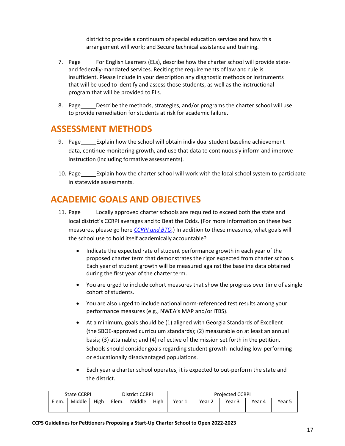district to provide a continuum of special education services and how this arrangement will work; and Secure technical assistance and training.

- 7. Page For English Learners (ELs), describe how the charter school will provide stateand federally-mandated services. Reciting the requirements of law and rule is insufficient. Please include in your description any diagnostic methods or instruments that will be used to identify and assess those students, as well as the instructional program that will be provided to ELs.
- 8. Page Describe the methods, strategies, and/or programs the charter school will use to provide remediation for students at risk for academic failure.

### <span id="page-15-0"></span>**ASSESSMENT METHODS**

- 9. Page\_\_\_\_\_Explain how the school will obtain individual student baseline achievement data, continue monitoring growth, and use that data to continuously inform and improve instruction (including formative assessments).
- 10. Page Explain how the charter school will work with the local school system to participate in statewide assessments.

# <span id="page-15-1"></span>**ACADEMIC GOALS AND OBJECTIVES**

- 11. Page Locally approved charter schools are required to exceed both the state and local district's CCRPI averages and to Beat the Odds. (For more information on these two measures, please go here *[CCRPI and BTO.](http://www.gadoe.org/External-Affairs-and-Policy/Charter-Schools/Documents/GCSA%20Conference%20-%20January%202015%20-%20CCRPI%20and%20BTO.pptx)*) In addition to these measures, what goals will the school use to hold itself academically accountable?
	- Indicate the expected rate of student performance growth in each year of the proposed charter term that demonstrates the rigor expected from charter schools. Each year of student growth will be measured against the baseline data obtained during the first year of the charter term.
	- You are urged to include cohort measures that show the progress over time of asingle cohort of students.
	- You are also urged to include national norm-referenced test results among your performance measures (e.g., NWEA's MAP and/or ITBS).
	- At a minimum, goals should be (1) aligned with Georgia Standards of Excellent (the SBOE-approved curriculum standards); (2) measurable on at least an annual basis; (3) attainable; and (4) reflective of the mission set forth in the petition. Schools should consider goals regarding student growth including low-performing or educationally disadvantaged populations.
	- Each year a charter school operates, it is expected to out-perform the state and the district.

|       | State CCRPI |      |       | District CCRPI |      | <b>Projected CCRPI</b> |        |        |        |        |
|-------|-------------|------|-------|----------------|------|------------------------|--------|--------|--------|--------|
| Elem. | Middle      | High | Elem. | Middle         | High | Year 1                 | Year 2 | Year 3 | Year 4 | Year 5 |
|       |             |      |       |                |      |                        |        |        |        |        |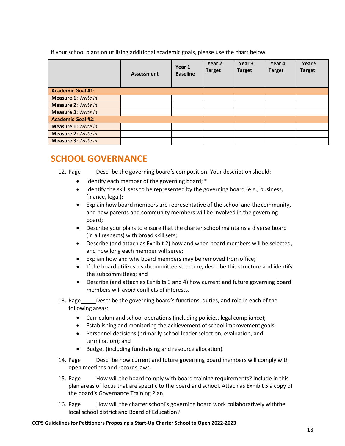If your school plans on utilizing additional academic goals, please use the chart below.

|                            | Assessment | Year 1<br><b>Baseline</b> | Year 2<br><b>Target</b> | Year <sub>3</sub><br><b>Target</b> | Year 4<br><b>Target</b> | Year 5<br><b>Target</b> |  |  |  |
|----------------------------|------------|---------------------------|-------------------------|------------------------------------|-------------------------|-------------------------|--|--|--|
| <b>Academic Goal #1:</b>   |            |                           |                         |                                    |                         |                         |  |  |  |
| <b>Measure 1: Write in</b> |            |                           |                         |                                    |                         |                         |  |  |  |
| <b>Measure 2: Write in</b> |            |                           |                         |                                    |                         |                         |  |  |  |
| <b>Measure 3: Write in</b> |            |                           |                         |                                    |                         |                         |  |  |  |
| <b>Academic Goal #2:</b>   |            |                           |                         |                                    |                         |                         |  |  |  |
| <b>Measure 1: Write in</b> |            |                           |                         |                                    |                         |                         |  |  |  |
| <b>Measure 2: Write in</b> |            |                           |                         |                                    |                         |                         |  |  |  |
| <b>Measure 3: Write in</b> |            |                           |                         |                                    |                         |                         |  |  |  |

# <span id="page-16-0"></span>**SCHOOL GOVERNANCE**

- 12. Page Lubscribe the governing board's composition. Your description should:
	- Identify each member of the governing board; \*
	- Identify the skill sets to be represented by the governing board (e.g., business, finance, legal);
	- Explain how board members are representative of the school and thecommunity, and how parents and community members will be involved in the governing board;
	- Describe your plans to ensure that the charter school maintains a diverse board (in all respects) with broad skill sets;
	- Describe (and attach as Exhibit 2) how and when board members will be selected, and how long each member will serve;
	- Explain how and why board members may be removed fromoffice;
	- If the board utilizes a subcommittee structure, describe this structure and identify the subcommittees; and
	- Describe (and attach as Exhibits 3 and 4) how current and future governing board members will avoid conflicts of interests.
- 13. Page Describe the governing board's functions, duties, and role in each of the following areas:
	- Curriculum and school operations (including policies, legal compliance);
	- Establishing and monitoring the achievement of school improvement goals;
	- Personnel decisions (primarily school leader selection, evaluation, and termination); and
	- Budget (including fundraising and resource allocation).
- 14. Page Describe how current and future governing board members will comply with open meetings and records laws.
- 15. Page How will the board comply with board training requirements? Include in this plan areas of focus that are specific to the board and school. Attach as Exhibit 5 a copy of the board's Governance Training Plan.
- 16. Page How will the charter school's governing board work collaboratively withthe local school district and Board of Education?

#### **CCPS Guidelines for Petitioners Proposing a Start-Up Charter School to Open 2022-2023**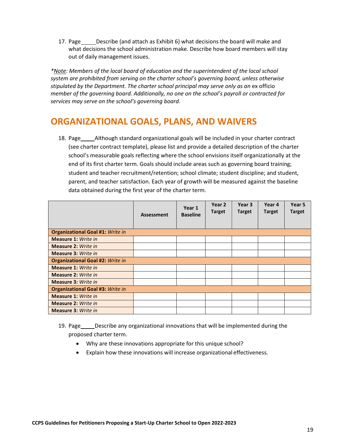<span id="page-17-1"></span>17. Page Describe (and attach as Exhibit 6) what decisions the board will make and what decisions the school administration make. Describe how board members will stay out of daily management issues.

*\*Note: Members of the local board of education and the superintendent of the local school system are prohibited from serving on the charter school's governing board, unless otherwise stipulated by the Department. The charter school principal may serve only as an* ex officio *member of the governing board. Additionally, no one on the school's payroll or contracted for services may serve on the school's governing board.*

# **ORGANIZATIONAL GOALS, PLANS, AND WAIVERS**

<span id="page-17-0"></span>18. Page Although standard organizational goals will be included in your charter contract (see charter contract template), please list and provide a detailed description of the charter school's measurable goals reflecting where the school envisions itself organizationally at the end of its first charter term. Goals should include areas such as governing board training; student and teacher recruitment/retention; school climate; student discipline; and student, parent, and teacher satisfaction. Each year of growth will be measured against the baseline data obtained during the first year of the charter term.

|                                         | <b>Assessment</b> | Year 1<br><b>Baseline</b> | Year 2<br><b>Target</b> | Year 3<br><b>Target</b> | Year 4<br><b>Target</b> | Year 5<br><b>Target</b> |  |  |
|-----------------------------------------|-------------------|---------------------------|-------------------------|-------------------------|-------------------------|-------------------------|--|--|
| <b>Organizational Goal #1: Write in</b> |                   |                           |                         |                         |                         |                         |  |  |
| <b>Measure 1: Write in</b>              |                   |                           |                         |                         |                         |                         |  |  |
| <b>Measure 2: Write in</b>              |                   |                           |                         |                         |                         |                         |  |  |
| <b>Measure 3: Write in</b>              |                   |                           |                         |                         |                         |                         |  |  |
| <b>Organizational Goal #2: Write in</b> |                   |                           |                         |                         |                         |                         |  |  |
| <b>Measure 1: Write in</b>              |                   |                           |                         |                         |                         |                         |  |  |
| <b>Measure 2: Write in</b>              |                   |                           |                         |                         |                         |                         |  |  |
| <b>Measure 3: Write in</b>              |                   |                           |                         |                         |                         |                         |  |  |
| <b>Organizational Goal #3: Write in</b> |                   |                           |                         |                         |                         |                         |  |  |
| <b>Measure 1: Write in</b>              |                   |                           |                         |                         |                         |                         |  |  |
| <b>Measure 2: Write in</b>              |                   |                           |                         |                         |                         |                         |  |  |
| <b>Measure 3: Write in</b>              |                   |                           |                         |                         |                         |                         |  |  |

- 19. Page Describe any organizational innovations that will be implemented during the proposed charter term.
	- Why are these innovations appropriate for this unique school?
	- Explain how these innovations will increase organizational effectiveness.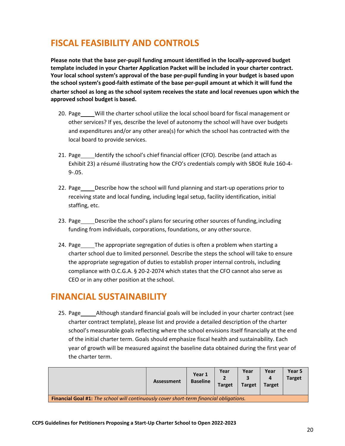# **FISCAL FEASIBILITY AND CONTROLS**

**Please note that the base per-pupil funding amount identified in the locally-approved budget template included in your Charter Application Packet will be included in your charter contract. Your local school system's approval of the base per-pupil funding in your budget is based upon the school system's good-faith estimate of the base per-pupil amount at which it will fund the charter school as long as the school system receives the state and local revenues upon which the approved school budget is based.**

- 20. Page \_\_\_ Will the charter school utilize the local school board for fiscal management or other services? If yes, describe the level of autonomy the school will have over budgets and expenditures and/or any other area(s) for which the school has contracted with the local board to provide services.
- 21. Page \_\_\_\_\_\_Identify the school's chief financial officer (CFO). Describe (and attach as Exhibit 23) a résumé illustrating how the CFO's credentials comply with SBOE Rule 160-4- 9-.05.
- 22. Page **Describe how the school will fund planning and start-up operations prior to** receiving state and local funding, including legal setup, facility identification, initial staffing, etc.
- 23. Page Describe the school's plans for securing other sources of funding,including funding from individuals, corporations, foundations, or any othersource.
- 24. Page The appropriate segregation of duties is often a problem when starting a charter school due to limited personnel. Describe the steps the school will take to ensure the appropriate segregation of duties to establish proper internal controls, including compliance with O.C.G.A. § 20-2-2074 which states that the CFO cannot also serve as CEO or in any other position at the school.

### <span id="page-18-0"></span>**FINANCIAL SUSTAINABILITY**

25. Page Although standard financial goals will be included in your charter contract (see charter contract template), please list and provide a detailed description of the charter school's measurable goals reflecting where the school envisions itself financially at the end of the initial charter term. Goals should emphasize fiscal health and sustainability. Each year of growth will be measured against the baseline data obtained during the first year of the charter term.

|                                                                                                | <b>Assessment</b> | Year 1<br><b>Baseline</b> | Year<br><b>Target</b> | Year<br><b>Target</b> | Year<br><b>Target</b> | Year 5<br><b>Target</b> |  |
|------------------------------------------------------------------------------------------------|-------------------|---------------------------|-----------------------|-----------------------|-----------------------|-------------------------|--|
| <b>Financial Goal #1:</b> The school will continuously cover short-term financial obligations. |                   |                           |                       |                       |                       |                         |  |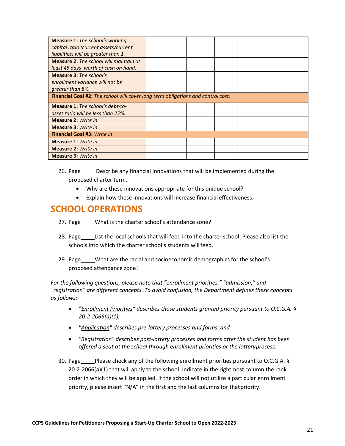| <b>Measure 1:</b> The school's working                                           |  |  |  |  |  |  |  |
|----------------------------------------------------------------------------------|--|--|--|--|--|--|--|
|                                                                                  |  |  |  |  |  |  |  |
| capital ratio (current assets/current                                            |  |  |  |  |  |  |  |
| liabilities) will be greater than 1.                                             |  |  |  |  |  |  |  |
| <b>Measure 2:</b> The school will maintain at                                    |  |  |  |  |  |  |  |
| least 45 days' worth of cash on hand.                                            |  |  |  |  |  |  |  |
|                                                                                  |  |  |  |  |  |  |  |
| <b>Measure 3: The school's</b>                                                   |  |  |  |  |  |  |  |
| enrollment variance will not be                                                  |  |  |  |  |  |  |  |
| greater than 8%.                                                                 |  |  |  |  |  |  |  |
| Financial Goal #2: The school will cover long term obligations and control cost. |  |  |  |  |  |  |  |
| <b>Measure 1:</b> The school's debt-to-                                          |  |  |  |  |  |  |  |
| asset ratio will be less than 25%.                                               |  |  |  |  |  |  |  |
| <b>Measure 2: Write in</b>                                                       |  |  |  |  |  |  |  |
| <b>Measure 3: Write in</b>                                                       |  |  |  |  |  |  |  |
| <b>Financial Goal #3: Write in</b>                                               |  |  |  |  |  |  |  |
| <b>Measure 1: Write in</b>                                                       |  |  |  |  |  |  |  |
| <b>Measure 2: Write in</b>                                                       |  |  |  |  |  |  |  |
| <b>Measure 3: Write in</b>                                                       |  |  |  |  |  |  |  |

- 26. Page Describe any financial innovations that will be implemented during the proposed charter term.
	- Why are these innovations appropriate for this unique school?
	- Explain how these innovations will increase financial effectiveness.

### <span id="page-19-0"></span>**SCHOOL OPERATIONS**

- 27. Page \_\_\_\_\_ What is the charter school's attendance zone?
- 28. Page List the local schools that will feed into the charter school. Please also list the schools into which the charter school's students will feed.
- 29. Page What are the racial and socioeconomic demographics for the school's proposed attendance zone?

*For the following questions, please note that "enrollment priorities," "admission," and "registration" are different concepts. To avoid confusion, the Department defines these concepts as follows:*

- *"Enrollment Priorities" describes those students granted priority pursuant to O.C.G.A. § 20-2-2066(a)(1);*
- *"Application" describes pre-lottery processes and forms; and*
- *"Registration" describes post-lottery processes and forms after the student has been offered a seat at the school through enrollment priorities or the lotteryprocess.*
- 30. Page Please check any of the following enrollment priorities pursuant to O.C.G.A. § 20-2-2066(a)(1) that will apply to the school. Indicate in the rightmost column the rank order in which they will be applied. If the school will not utilize a particular enrollment priority, please insert "N/A" in the first and the last columns for thatpriority.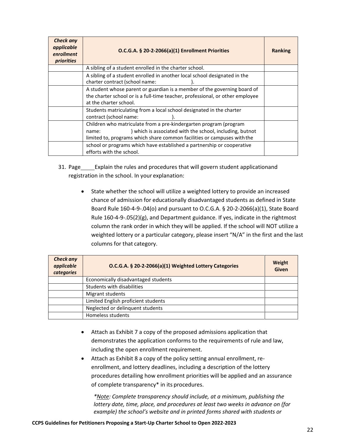| <b>Check any</b><br>applicable<br>enrollment<br>priorities | O.C.G.A. § 20-2-2066(a)(1) Enrollment Priorities                                                                                                                                                                  | <b>Ranking</b> |
|------------------------------------------------------------|-------------------------------------------------------------------------------------------------------------------------------------------------------------------------------------------------------------------|----------------|
|                                                            | A sibling of a student enrolled in the charter school.                                                                                                                                                            |                |
|                                                            | A sibling of a student enrolled in another local school designated in the<br>charter contract (school name:                                                                                                       |                |
|                                                            | A student whose parent or guardian is a member of the governing board of<br>the charter school or is a full-time teacher, professional, or other employee<br>at the charter school.                               |                |
|                                                            | Students matriculating from a local school designated in the charter<br>contract (school name:                                                                                                                    |                |
|                                                            | Children who matriculate from a pre-kindergarten program (program<br>) which is associated with the school, including, butnot<br>name:<br>limited to, programs which share common facilities or campuses with the |                |
|                                                            | school or programs which have established a partnership or cooperative<br>efforts with the school.                                                                                                                |                |

- 31. Page Explain the rules and procedures that will govern student applicationand registration in the school. In your explanation:
	- State whether the school will utilize a weighted lottery to provide an increased chance of admission for educationally disadvantaged students as defined in State Board Rule 160-4-9-.04(o) and pursuant to O.C.G.A. § 20-2-2066(a)(1), State Board Rule 160-4-9-.05(2)(g), and Department guidance. If yes, indicate in the rightmost column the rank order in which they will be applied. If the school will NOT utilize a weighted lottery or a particular category, please insert "N/A" in the first and the last columns for that category.

| Check any<br>applicable<br>categories | O.C.G.A. § 20-2-2066(a)(1) Weighted Lottery Categories | Weight<br><b>Given</b> |
|---------------------------------------|--------------------------------------------------------|------------------------|
|                                       | Economically disadvantaged students                    |                        |
|                                       | Students with disabilities                             |                        |
|                                       | Migrant students                                       |                        |
|                                       | Limited English proficient students                    |                        |
|                                       | Neglected or delinquent students                       |                        |
|                                       | Homeless students                                      |                        |

- Attach as Exhibit 7 a copy of the proposed admissions application that demonstrates the application conforms to the requirements of rule and law, including the open enrollment requirement.
- Attach as Exhibit 8 a copy of the policy setting annual enrollment, reenrollment, and lottery deadlines, including a description of the lottery procedures detailing how enrollment priorities will be applied and an assurance of complete transparency\* in its procedures.

*\*Note: Complete transparency should include, at a minimum, publishing the lottery date, time, place, and procedures at least two weeks in advance on (for example) the school's website and in printed forms shared with students or*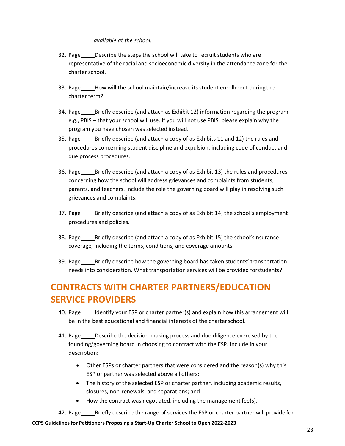#### *available at the school.*

- 32. Page Describe the steps the school will take to recruit students who are representative of the racial and socioeconomic diversity in the attendance zone for the charter school.
- 33. Page How will the school maintain/increase its student enrollment duringthe charter term?
- 34. Page Briefly describe (and attach as Exhibit 12) information regarding the program  $$ e.g., PBIS – that your school will use. If you will not use PBIS, please explain why the program you have chosen was selected instead.
- 35. Page Briefly describe (and attach a copy of as Exhibits 11 and 12) the rules and procedures concerning student discipline and expulsion, including code of conduct and due process procedures.
- 36. Page Briefly describe (and attach a copy of as Exhibit 13) the rules and procedures concerning how the school will address grievances and complaints from students, parents, and teachers. Include the role the governing board will play in resolving such grievances and complaints.
- 37. Page \_\_\_\_\_\_\_ Briefly describe (and attach a copy of as Exhibit 14) the school's employment procedures and policies.
- 38. Page Briefly describe (and attach a copy of as Exhibit 15) the school'sinsurance coverage, including the terms, conditions, and coverage amounts.
- 39. Page Briefly describe how the governing board has taken students' transportation needs into consideration. What transportation services will be provided forstudents?

# <span id="page-21-0"></span>**CONTRACTS WITH CHARTER PARTNERS/EDUCATION SERVICE PROVIDERS**

- 40. Page **IDENT** Identify your ESP or charter partner(s) and explain how this arrangement will be in the best educational and financial interests of the charterschool.
- 41. Page Describe the decision-making process and due diligence exercised by the founding/governing board in choosing to contract with the ESP. Include in your description:
	- Other ESPs or charter partners that were considered and the reason(s) why this ESP or partner was selected above all others;
	- The history of the selected ESP or charter partner, including academic results, closures, non-renewals, and separations; and
	- How the contract was negotiated, including the management fee(s).
- 42. Page Briefly describe the range of services the ESP or charter partner will provide for

**CCPS Guidelines for Petitioners Proposing a Start-Up Charter School to Open 2022-2023**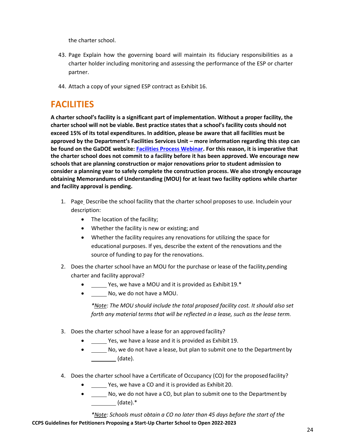the charter school.

- 43. Page Explain how the governing board will maintain its fiduciary responsibilities as a charter holder including monitoring and assessing the performance of the ESP or charter partner.
- 44. Attach a copy of your signed ESP contract as Exhibit 16.

### <span id="page-22-0"></span>**FACILITIES**

**A charter school's facility is a significant part of implementation. Without a proper facility, the charter school will not be viable. Best practice states that a school's facility costs should not exceed 15% of its total expenditures. In addition, please be aware that all facilities must be approved by the Department's Facilities Services Unit – more information regarding this step can be found on the GaDOE website: [Facilities Process Webinar. F](http://archives.gadoe.org/DMGetDocument.aspx/Navigating%20the%20Facilities%20Process.pdf?p=6CC6799F8C1371F6E8896DCBCF4D6421EC0C56973C8F4E13E3B0DC6F9A6F33B3&%3BType=D)or this reason, it is imperative that the charter school does not commit to a facility before it has been approved. We encourage new schools that are planning construction or major renovations prior to student admission to consider a planning year to safely complete the construction process. We also strongly encourage obtaining Memorandums of Understanding (MOU) for at least two facility options while charter and facility approval is pending.**

- 1. Page Describe the school facility that the charter school proposes to use. Includein your description:
	- The location of the facility;
	- Whether the facility is new or existing; and
	- Whether the facility requires any renovations for utilizing the space for educational purposes. If yes, describe the extent of the renovations and the source of funding to pay for the renovations.
- 2. Does the charter school have an MOU for the purchase or lease of the facility,pending charter and facility approval?
	- Yes, we have a MOU and it is provided as Exhibit 19.\*
	- \_\_\_\_\_\_\_\_ No, we do not have a MOU.

*\*Note: The MOU should include the total proposed facility cost. It should also set forth any material terms that will be reflected in a lease, such as the lease term.*

- 3. Does the charter school have a lease for an approved facility?
	- Yes, we have a lease and it is provided as Exhibit 19.
	- No, we do not have a lease, but plan to submit one to the Department by (date).
- 4. Does the charter school have a Certificate of Occupancy (CO) for the proposedfacility?
	- Yes, we have a CO and it is provided as Exhibit 20.
	- No, we do not have a CO, but plan to submit one to the Department by (date).\*

**CCPS Guidelines for Petitioners Proposing a Start-Up Charter School to Open 2022-2023** *\*Note: Schools must obtain a CO no later than 45 days before the start of the*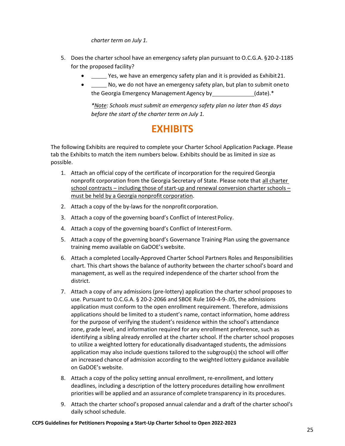*charter term on July 1.*

- 5. Does the charter school have an emergency safety plan pursuant to O.C.G.A. §20-2-1185 for the proposed facility?
	- \_\_\_\_\_\_ Yes, we have an emergency safety plan and it is provided as Exhibit 21.
	- No, we do not have an emergency safety plan, but plan to submit oneto the Georgia Emergency Management Agency by (date).\*

*\*Note: Schools must submit an emergency safety plan no later than 45 days before the start of the charter term on July 1.*

# **EXHIBITS**

<span id="page-23-0"></span>The following Exhibits are required to complete your Charter School Application Package. Please tab the Exhibits to match the item numbers below. Exhibits should be as limited in size as possible.

- 1. Attach an official copy of the certificate of incorporation for the required Georgia nonprofit corporation from the Georgia Secretary of State. Please note that all charter school contracts – including those of start-up and renewal conversion charter schools – must be held by a Georgia nonprofit corporation.
- 2. Attach a copy of the by-laws for the nonprofit corporation.
- 3. Attach a copy of the governing board's Conflict of Interest Policy.
- 4. Attach a copy of the governing board's Conflict of Interest Form.
- 5. Attach a copy of the governing board's Governance Training Plan using the governance training memo available on GaDOE's website.
- 6. Attach a completed Locally-Approved Charter School Partners Roles and Responsibilities chart. This chart shows the balance of authority between the charter school's board and management, as well as the required independence of the charter school from the district.
- 7. Attach a copy of any admissions (pre-lottery) application the charter school proposes to use. Pursuant to O.C.G.A. § 20-2-2066 and SBOE Rule 160-4-9-.05, the admissions application must conform to the open enrollment requirement. Therefore, admissions applications should be limited to a student's name, contact information, home address for the purpose of verifying the student's residence within the school's attendance zone, grade level, and information required for any enrollment preference, such as identifying a sibling already enrolled at the charter school. If the charter school proposes to utilize a weighted lottery for educationally disadvantaged students, the admissions application may also include questions tailored to the subgroup(s) the school will offer an increased chance of admission according to the weighted lottery guidance available on GaDOE's website.
- 8. Attach a copy of the policy setting annual enrollment, re-enrollment, and lottery deadlines, including a description of the lottery procedures detailing how enrollment priorities will be applied and an assurance of complete transparency in its procedures.
- 9. Attach the charter school's proposed annual calendar and a draft of the charter school's daily school schedule.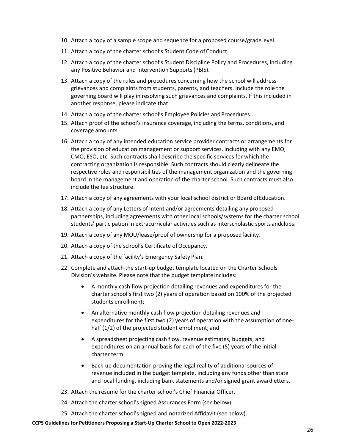- 10. Attach a copy of a sample scope and sequence for a proposed course/gradelevel.
- 11. Attach a copy of the charter school's Student Code of Conduct.
- 12. Attach a copy of the charter school's Student Discipline Policy and Procedures, including any Positive Behavior and Intervention Supports(PBIS).
- 13. Attach a copy of the rules and procedures concerning how the school will address grievances and complaints from students, parents, and teachers. Include the role the governing board will play in resolving such grievances and complaints. If this included in another response, please indicate that.
- 14. Attach a copy of the charter school's Employee Policies and Procedures.
- 15. Attach proof of the school's insurance coverage, including the terms, conditions, and coverage amounts.
- 16. Attach a copy of any intended education service provider contracts or arrangements for the provision of education management or support services, including with any EMO, CMO, ESO, etc. Such contracts shall describe the specific services for which the contracting organization is responsible. Such contracts should clearly delineate the respective roles and responsibilities of the management organization and the governing board in the management and operation of the charter school. Such contracts must also include the fee structure.
- 17. Attach a copy of any agreements with your local school district or Board ofEducation.
- 18. Attach a copy of any Letters of Intent and/or agreements detailing any proposed partnerships, including agreements with other local schools/systems for the charter school students' participation in extracurricular activities such as interscholastic sports andclubs.
- 19. Attach a copy of any MOU/lease/proof of ownership for a proposedfacility.
- 20. Attach a copy of the school's Certificate of Occupancy.
- 21. Attach a copy of the facility's Emergency Safety Plan.
- 22. Complete and attach the start-up budget template located on the Charter Schools Division's website. Please note that the budget template includes:
	- A monthly cash flow projection detailing revenues and expenditures for the charter school's first two (2) years of operation based on 100% of the projected students enrollment;
	- An alternative monthly cash flow projection detailing revenues and expenditures for the first two (2) years of operation with the assumption of onehalf (1/2) of the projected student enrollment; and
	- A spreadsheet projecting cash flow, revenue estimates, budgets, and expenditures on an annual basis for each of the five (5) years of the initial charter term.
	- Back-up documentation proving the legal reality of additional sources of revenue included in the budget template, including any funds other than state and local funding, including bank statements and/or signed grant awardletters.
- 23. Attach the résumé for the charter school's Chief Financial Officer.
- 24. Attach the charter school's signed Assurances Form (see below).
- 25. Attach the charter school's signed and notarized Affidavit (seebelow).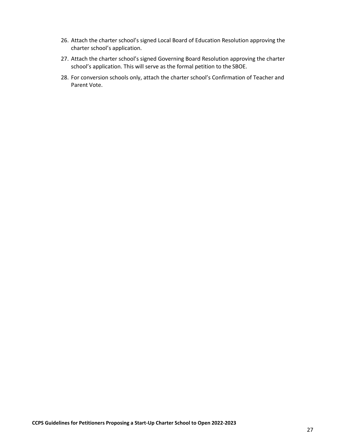- 26. Attach the charter school's signed Local Board of Education Resolution approving the charter school's application.
- 27. Attach the charter school's signed Governing Board Resolution approving the charter school's application. This will serve as the formal petition to the SBOE.
- 28. For conversion schools only, attach the charter school's Confirmation of Teacher and Parent Vote.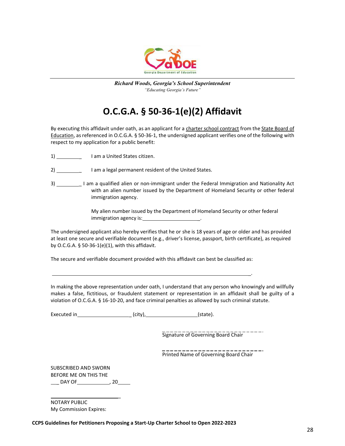

*Richard Woods, Georgia's School Superintendent "Educating Georgia's Future"*

# **O.C.G.A. § 50-36-1(e)(2) Affidavit**

By executing this affidavit under oath, as an applicant for a charter school contract from the State Board of Education, asreferenced in O.C.G.A. § 50-36-1, the undersigned applicant verifies one of the following with respect to my application for a public benefit:

1) **I am a United States citizen.** 

- 2) \_\_\_\_\_\_\_\_\_\_\_\_\_\_ I am a legal permanent resident of the United States.
- 3) \_ I am a qualified alien or non-immigrant under the Federal Immigration and Nationality Act with an alien number issued by the Department of Homeland Security or other federal immigration agency.

My alien number issued by the Department of Homeland Security or other federal immigration agency is: \_.

The undersigned applicant also hereby verifies that he or she is 18 years of age or older and has provided at least one secure and verifiable document (e.g., driver's license, passport, birth certificate), as required by O.C.G.A. § 50-36-1(e)(1), with this affidavit.

The secure and verifiable document provided with this affidavit can best be classified as:

In making the above representation under oath, I understand that any person who knowingly and willfully makes a false, fictitious, or fraudulent statement or representation in an affidavit shall be guilty of a violation of O.C.G.A. § 16-10-20, and face criminal penalties as allowed by such criminal statute.

Executed in  $\begin{array}{c} \text{Expected} \\ \text{[N]} \end{array}$  (city),  $\begin{array}{c} \text{(state)} \end{array}$ 

Signature of Governing Board Chair

\_.

Printed Name of Governing Board Chair

SUBSCRIBED AND SWORN BEFORE ME ON THIS THE \_ DAY OF , 20

NOTARY PUBLIC My Commission Expires:

**CCPS Guidelines for Petitioners Proposing a Start-Up Charter School to Open 2022-2023**

\_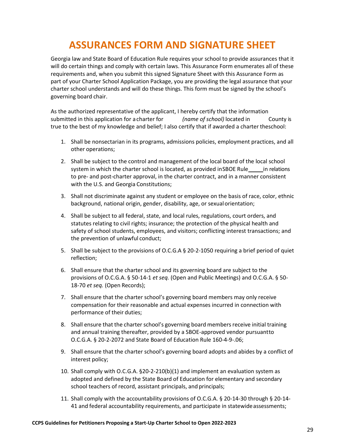# **ASSURANCES FORM AND SIGNATURE SHEET**

<span id="page-27-0"></span>Georgia law and State Board of Education Rule requires your school to provide assurances that it will do certain things and comply with certain laws. This Assurance Form enumerates all of these requirements and, when you submit this signed Signature Sheet with this Assurance Form as part of your Charter School Application Package, you are providing the legal assurance that your charter school understands and will do these things. This form must be signed by the school's governing board chair.

As the authorized representative of the applicant, I hereby certify that the information submitted in this application for a charter for *(name of school)* located in County is true to the best of my knowledge and belief; I also certify that if awarded a charter theschool:

- 1. Shall be nonsectarian in its programs, admissions policies, employment practices, and all other operations;
- 2. Shall be subject to the control and management of the local board of the local school system in which the charter school is located, as provided in SBOE Rule in relations to pre- and post-charter approval, in the charter contract, and in a manner consistent with the U.S. and Georgia Constitutions;
- 3. Shall not discriminate against any student or employee on the basis of race, color, ethnic background, national origin, gender, disability, age, or sexualorientation;
- 4. Shall be subject to all federal, state, and local rules, regulations, court orders, and statutes relating to civil rights; insurance; the protection of the physical health and safety of school students, employees, and visitors; conflicting interest transactions; and the prevention of unlawful conduct;
- 5. Shall be subject to the provisions of O.C.G.A § 20-2-1050 requiring a brief period of quiet reflection;
- 6. Shall ensure that the charter school and its governing board are subject to the provisions of O.C.G.A. § 50-14-1 *et seq.* (Open and Public Meetings) and O.C.G.A. § 50- 18-70 *et seq.* (Open Records);
- 7. Shall ensure that the charter school's governing board members may only receive compensation for their reasonable and actual expenses incurred in connection with performance of their duties;
- 8. Shall ensure that the charter school's governing board members receive initial training and annual training thereafter, provided by a SBOE-approved vendor pursuantto O.C.G.A. § 20-2-2072 and State Board of Education Rule 160-4-9-.06;
- 9. Shall ensure that the charter school's governing board adopts and abides by a conflict of interest policy;
- 10. Shall comply with O.C.G.A. §20-2-210(b)(1) and implement an evaluation system as adopted and defined by the State Board of Education for elementary and secondary school teachers of record, assistant principals, and principals;
- 11. Shall comply with the accountability provisions of O.C.G.A. § 20-14-30 through § 20-14- 41 and federal accountability requirements, and participate in statewideassessments;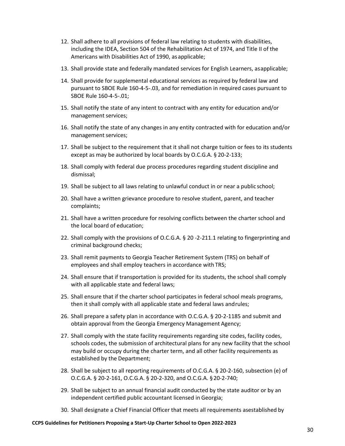- 12. Shall adhere to all provisions of federal law relating to students with disabilities, including the IDEA, Section 504 of the Rehabilitation Act of 1974, and Title II of the Americans with Disabilities Act of 1990, asapplicable;
- 13. Shall provide state and federally mandated services for English Learners, asapplicable;
- 14. Shall provide for supplemental educational services as required by federal law and pursuant to SBOE Rule 160-4-5-.03, and for remediation in required cases pursuant to SBOE Rule 160-4-5-.01;
- 15. Shall notify the state of any intent to contract with any entity for education and/or management services;
- 16. Shall notify the state of any changes in any entity contracted with for education and/or management services;
- 17. Shall be subject to the requirement that it shall not charge tuition or fees to its students except as may be authorized by local boards by O.C.G.A. § 20-2-133;
- 18. Shall comply with federal due process procedures regarding student discipline and dismissal;
- 19. Shall be subject to all laws relating to unlawful conduct in or near a public school;
- 20. Shall have a written grievance procedure to resolve student, parent, and teacher complaints;
- 21. Shall have a written procedure for resolving conflicts between the charter school and the local board of education;
- 22. Shall comply with the provisions of O.C.G.A. § 20 -2-211.1 relating to fingerprinting and criminal background checks;
- 23. Shall remit payments to Georgia Teacher Retirement System (TRS) on behalf of employees and shall employ teachers in accordance with TRS;
- 24. Shall ensure that if transportation is provided for its students, the school shall comply with all applicable state and federal laws;
- 25. Shall ensure that if the charter school participates in federal school meals programs, then it shall comply with all applicable state and federal laws andrules;
- 26. Shall prepare a safety plan in accordance with O.C.G.A. § 20-2-1185 and submit and obtain approval from the Georgia Emergency Management Agency;
- 27. Shall comply with the state facility requirements regarding site codes, facility codes, schools codes, the submission of architectural plans for any new facility that the school may build or occupy during the charter term, and all other facility requirements as established by the Department;
- 28. Shall be subject to all reporting requirements of O.C.G.A. § 20-2-160, subsection (e) of O.C.G.A. § 20-2-161, O.C.G.A. § 20-2-320, and O.C.G.A. §20-2-740;
- 29. Shall be subject to an annual financial audit conducted by the state auditor or by an independent certified public accountant licensed in Georgia;
- 30. Shall designate a Chief Financial Officer that meets all requirements asestablished by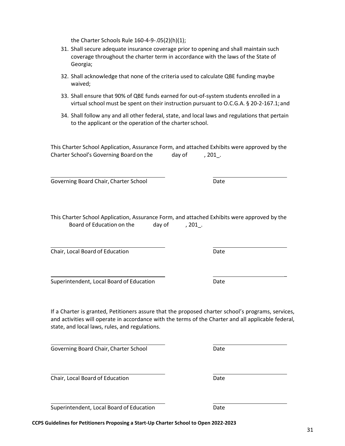the Charter Schools Rule 160-4-9-.05(2)(h)(1);

- 31. Shall secure adequate insurance coverage prior to opening and shall maintain such coverage throughout the charter term in accordance with the laws of the State of Georgia;
- 32. Shall acknowledge that none of the criteria used to calculate QBE funding maybe waived;
- 33. Shall ensure that 90% of QBE funds earned for out-of-system students enrolled in a virtual school must be spent on their instruction pursuant to O.C.G.A. § 20-2-167.1;and
- 34. Shall follow any and all other federal, state, and local laws and regulations that pertain to the applicant or the operation of the charter school.

This Charter School Application, Assurance Form, and attached Exhibits were approved by the Charter School's Governing Board on the day of , 201.

Governing Board Chair, Charter School Date

This Charter School Application, Assurance Form, and attached Exhibits were approved by the Board of Education on the day of , 201.

Chair, Local Board of Education **Date** Date

Superintendent, Local Board of Education **Date** Date

If a Charter is granted, Petitioners assure that the proposed charter school's programs, services, and activities will operate in accordance with the terms of the Charter and all applicable federal, state, and local laws, rules, and regulations.

Governing Board Chair, Charter School **Chairs** Date

Chair, Local Board of Education Date

Superintendent, Local Board of Education Date

\_